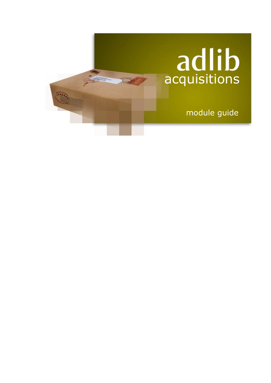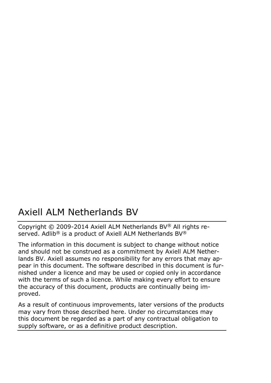### Axiell ALM Netherlands BV

Copyright © 2009-2014 Axiell ALM Netherlands BV® All rights reserved. Adlib<sup>®</sup> is a product of Axiell ALM Netherlands BV<sup>®</sup>

The information in this document is subject to change without notice and should not be construed as a commitment by Axiell ALM Netherlands BV. Axiell assumes no responsibility for any errors that may appear in this document. The software described in this document is furnished under a licence and may be used or copied only in accordance with the terms of such a licence. While making every effort to ensure the accuracy of this document, products are continually being improved.

As a result of continuous improvements, later versions of the products may vary from those described here. Under no circumstances may this document be regarded as a part of any contractual obligation to supply software, or as a definitive product description.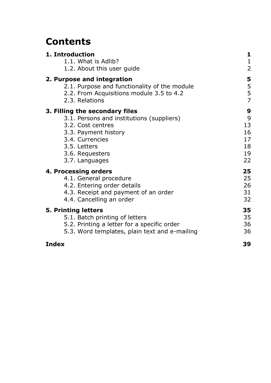### **Contents**

| 1. Introduction                               | 1              |
|-----------------------------------------------|----------------|
| 1.1. What is Adlib?                           | $\mathbf{1}$   |
| 1.2. About this user guide                    | $\overline{2}$ |
| 2. Purpose and integration                    | 5              |
| 2.1. Purpose and functionality of the module  | 5              |
| 2.2. From Acquisitions module 3.5 to 4.2      | 5              |
| 2.3. Relations                                | $\overline{7}$ |
| 3. Filling the secondary files                | 9              |
| 3.1. Persons and institutions (suppliers)     | 9              |
| 3.2. Cost centres                             | 13             |
| 3.3. Payment history                          | 16             |
| 3.4. Currencies                               | 17             |
| 3.5. Letters                                  | 18             |
| 3.6. Requesters                               | 19             |
| 3.7. Languages                                | 22             |
| 4. Processing orders                          | 25             |
| 4.1. General procedure                        | 25             |
| 4.2. Entering order details                   | 26             |
| 4.3. Receipt and payment of an order          | 31             |
| 4.4. Cancelling an order                      | 32             |
| 5. Printing letters                           | 35             |
| 5.1. Batch printing of letters                | 35             |
| 5.2. Printing a letter for a specific order   | 36             |
| 5.3. Word templates, plain text and e-mailing | 36             |
| <b>Index</b>                                  | 39             |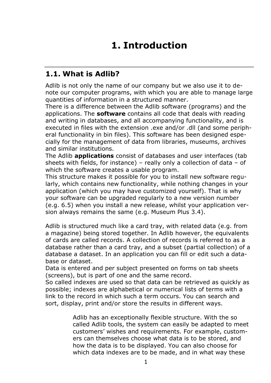### **1. Introduction**

### **1.1. What is Adlib?**

Adlib is not only the name of our company but we also use it to denote our computer programs, with which you are able to manage large quantities of information in a structured manner.

There is a difference between the Adlib software (programs) and the applications. The **software** contains all code that deals with reading and writing in databases, and all accompanying functionality, and is executed in files with the extension .exe and/or .dll (and some peripheral functionality in bin files). This software has been designed especially for the management of data from libraries, museums, archives and similar institutions.

The Adlib **applications** consist of databases and user interfaces (tab sheets with fields, for instance) – really only a collection of data – of which the software creates a usable program.

This structure makes it possible for you to install new software regularly, which contains new functionality, while nothing changes in your application (which you may have customized yourself). That is why your software can be upgraded regularly to a new version number (e.g. 6.5) when you install a new release, whilst your application version always remains the same (e.g. Museum Plus 3.4).

Adlib is structured much like a card tray, with related data (e.g. from a magazine) being stored together. In Adlib however, the equivalents of cards are called records. A collection of records is referred to as a database rather than a card tray, and a subset (partial collection) of a database a dataset. In an application you can fill or edit such a database or dataset.

Data is entered and per subject presented on forms on tab sheets (screens), but is part of one and the same record.

So called indexes are used so that data can be retrieved as quickly as possible; indexes are alphabetical or numerical lists of terms with a link to the record in which such a term occurs. You can search and sort, display, print and/or store the results in different ways.

> Adlib has an exceptionally flexible structure. With the so called Adlib tools, the system can easily be adapted to meet customers' wishes and requirements. For example, customers can themselves choose what data is to be stored, and how the data is to be displayed. You can also choose for which data indexes are to be made, and in what way these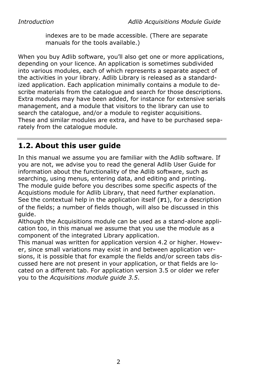indexes are to be made accessible. (There are separate manuals for the tools available.)

When you buy Adlib software, you'll also get one or more applications, depending on your licence. An application is sometimes subdivided into various modules, each of which represents a separate aspect of the activities in your library. Adlib Library is released as a standardized application. Each application minimally contains a module to describe materials from the catalogue and search for those descriptions. Extra modules may have been added, for instance for extensive serials management, and a module that visitors to the library can use to search the catalogue, and/or a module to register acquisitions. These and similar modules are extra, and have to be purchased separately from the catalogue module.

### **1.2. About this user guide**

In this manual we assume you are familiar with the Adlib software. If you are not, we advise you to read the general Adlib User Guide for information about the functionality of the Adlib software, such as searching, using menus, entering data, and editing and printing. The module guide before you describes some specific aspects of the Acquistions module for Adlib Library, that need further explanation. See the contextual help in the application itself (**F1**), for a description of the fields; a number of fields though, will also be discussed in this guide.

Although the Acquisitions module can be used as a stand-alone application too, in this manual we assume that you use the module as a component of the integrated Library application.

This manual was written for application version 4.2 or higher. However, since small variations may exist in and between application versions, it is possible that for example the fields and/or screen tabs discussed here are not present in your application, or that fields are located on a different tab. For application version 3.5 or older we refer you to the *Acquisitions module guide 3.5*.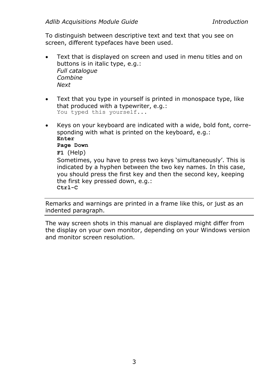To distinguish between descriptive text and text that you see on screen, different typefaces have been used.

- Text that is displayed on screen and used in menu titles and on buttons is in italic type, e.g.: *Full catalogue Combine Next*
- Text that you type in yourself is printed in monospace type, like that produced with a typewriter, e.g.: You typed this yourself...
- Keys on your keyboard are indicated with a wide, bold font, corresponding with what is printed on the keyboard, e.g.: **Enter Page Down F1** (Help) Sometimes, you have to press two keys 'simultaneously'. This is indicated by a hyphen between the two key names. In this case, you should press the first key and then the second key, keeping the first key pressed down, e.g.: **Ctrl-C**

Remarks and warnings are printed in a frame like this, or just as an indented paragraph.

The way screen shots in this manual are displayed might differ from the display on your own monitor, depending on your Windows version and monitor screen resolution.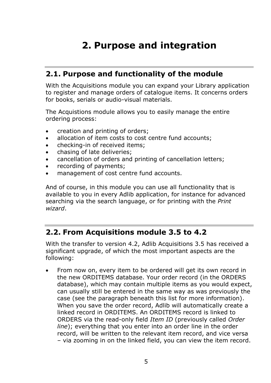## **2. Purpose and integration**

### **2.1. Purpose and functionality of the module**

With the Acquisitions module you can expand your Library application to register and manage orders of catalogue items. It concerns orders for books, serials or audio-visual materials.

The Acquistions module allows you to easily manage the entire ordering process:

- creation and printing of orders;
- allocation of item costs to cost centre fund accounts;
- checking-in of received items;
- chasing of late deliveries;
- cancellation of orders and printing of cancellation letters;
- recording of payments;
- management of cost centre fund accounts.

And of course, in this module you can use all functionality that is available to you in every Adlib application, for instance for advanced searching via the search language, or for printing with the *Print wizard*.

### **2.2. From Acquisitions module 3.5 to 4.2**

With the transfer to version 4.2, Adlib Acquisitions 3.5 has received a significant upgrade, of which the most important aspects are the following:

• From now on, every item to be ordered will get its own record in the new ORDITEMS database. Your order record (in the ORDERS database), which may contain multiple items as you would expect, can usually still be entered in the same way as was previously the case (see the paragraph beneath this list for more information). When you save the order record, Adlib will automatically create a linked record in ORDITEMS. An ORDITEMS record is linked to ORDERS via the read-only field *Item ID* (previously called *Order line*); everything that you enter into an order line in the order record, will be written to the relevant item record, and vice versa – via zooming in on the linked field, you can view the item record.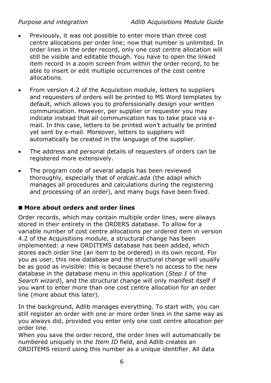*Purpose and integration Adlib Acquisitions Module Guide*

- Previously, it was not possible to enter more than three cost centre allocations per order line; now that number is unlimited. In order lines in the order record, only one cost centre allocation will still be visible and editable though. You have to open the linked item record in a zoom screen from within the order record, to be able to insert or edit multiple occurrences of the cost centre allocations.
- From version 4.2 of the Acquisition module, letters to suppliers and requesters of orders will be printed to MS Word templates by default, which allows you to proferssionally design your written communication. However, per supplier or requester you may indicate instead that all communication has to take place via email. In this case, letters to be printed won't actually be printed yet sent by e-mail. Moreover, letters to suppliers will automatically be created in the language of the supplier.
- The address and personal details of requesters of orders can be registered more extensively.
- The program code of several adapls has been reviewed thoroughly, especially that of *ordcalc.ada* (the adapl which manages all procedures and calculations during the registering and processing of an order), and many bugs have been fixed.

#### ■ More about orders and order lines

Order records, which may contain multiple order lines, were always stored in their entirety in the ORDERS database. To allow for a variable number of cost centre allocations per ordered item in version 4.2 of the Acquisitions module, a structural change has been implemented: a new ORDITEMS database has been added, which stores each order line (an item to be ordered) in its own record. For you as user, this new database and the structural change will usually be as good as invisible: this is because there's no access to the new database in the database menu in this application (*Step 1* of the *Search wizard*), and the structural change will only manifest itself if you want to enter more than one cost centre allocation for an order line (more about this later).

In the background, Adlib manages everything. To start with, you can still register an order with one or more order lines in the same way as you always did, provided you enter only one cost centre allocation per order line.

When you save the order record, the order lines will automatically be numbered uniquely in the *Item ID* field, and Adlib creates an ORDITEMS record using this number as a unique identifier. All data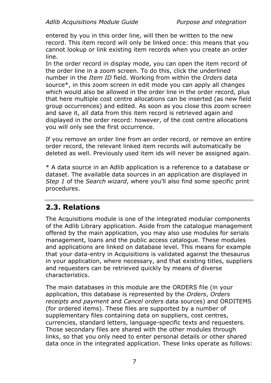entered by you in this order line, will then be written to the new record. This item record will only be linked once: this means that you cannot lookup or link existing item records when you create an order line.

In the order record in display mode, you can open the item record of the order line in a zoom screen. To do this, click the underlined number in the *Item ID* field. Working from within the *Orders* data source\*, in this zoom screen in edit mode you can apply all changes which would also be allowed in the order line in the order record, plus that here multiple cost centre allocations can be inserted (as new field group occurrences) and edited. As soon as you close this zoom screen and save it, all data from this item record is retrieved again and displayed in the order record: however, of the cost centre allocations you will only see the first occurrence.

If you remove an order line from an order record, or remove an entire order record, the relevant linked item records will automatically be deleted as well. Previously used item ids will never be assigned again.

\* A data source in an Adlib application is a reference to a database or dataset. The available data sources in an application are displayed in *Step 1* of the *Search wizard*, where you'll also find some specific print procedures.

### **2.3. Relations**

The Acquisitions module is one of the integrated modular components of the Adlib Library application. Aside from the catalogue management offered by the main application, you may also use modules for serials management, loans and the public access catalogue. These modules and applications are linked on database level. This means for example that your data-entry in Acquisitions is validated against the thesaurus in your application, where necessary, and that existing titles, suppliers and requesters can be retrieved quickly by means of diverse characteristics.

The main databases in this module are the ORDERS file (in your application, this database is represented by the *Orders*, *Orders receipts and payment* and *Cancel orders* data sources) and ORDITEMS (for ordered items). These files are supported by a number of supplementary files containing data on suppliers, cost centres, currencies, standard letters, language-specific texts and requesters. Those secondary files are shared with the other modules through links, so that you only need to enter personal details or other shared data once in the integrated application. These links operate as follows: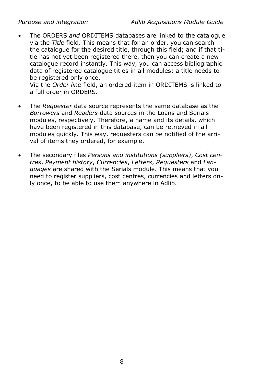• The ORDERS *and* ORDITEMS databases are linked to the catalogue via the *Title* field. This means that for an order, you can search the catalogue for the desired title, through this field; and if that title has not yet been registered there, then you can create a new catalogue record instantly. This way, you can access bibliographic data of registered catalogue titles in all modules: a title needs to be registered only once.

Via the *Order line* field, an ordered item in ORDITEMS is linked to a full order in ORDERS.

- The *Requester* data source represents the same database as the *Borrowers* and *Readers* data sources in the Loans and Serials modules, respectively. Therefore, a name and its details, which have been registered in this database, can be retrieved in all modules quickly. This way, requesters can be notified of the arrival of items they ordered, for example.
- The secondary files *Persons and institutions (suppliers)*, *Cost centres*, *Payment history*, *Currencies*, *Letters*, *Requesters* and *Languages* are shared with the Serials module. This means that you need to register suppliers, cost centres, currencies and letters only once, to be able to use them anywhere in Adlib.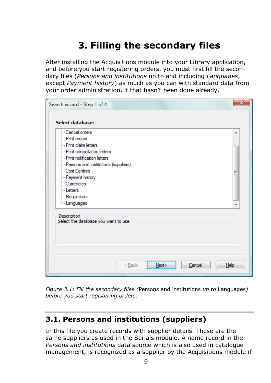## **3. Filling the secondary files**

After installing the Acquisitions module into your Library application, and before you start registering orders, you must first fill the secondary files (*Persons and institutions* up to and including *Languages*, except *Payment history*) as much as you can with standard data from your order administration, if that hasn't been done already.

| Search wizard - Step 1 of 4                                                                                                                                                                                                                                                         | х      |
|-------------------------------------------------------------------------------------------------------------------------------------------------------------------------------------------------------------------------------------------------------------------------------------|--------|
| Select database:                                                                                                                                                                                                                                                                    |        |
| - Cancel orders<br>- Print orders<br>- Print claim letters<br>- Print cancellation letters<br>- Print notification letters<br>- Persons and institutions (suppliers)<br>Cost Centres<br>- Payment history<br>Currencies<br>Letters<br>Requesters<br><b>Languages</b><br>Description | ۰<br>Ξ |
| Select the database you want to use<br>$Back$<br>Next><br>Cancel<br>Help                                                                                                                                                                                                            |        |

*Figure 3.1: Fill the secondary files (*Persons and institutions *up to* Languages*) before you start registering orders.*

### **3.1. Persons and institutions (suppliers)**

In this file you create records with supplier details. These are the same suppliers as used in the Serials module. A name record in the *Persons and institutions* data source which is also used in catalogue management, is recognized as a supplier by the Acquisitions module if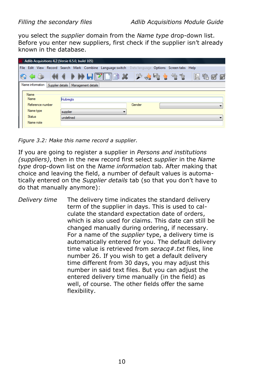you select the *supplier* domain from the *Name type* drop-down list. Before you enter new suppliers, first check if the supplier isn't already known in the database.

| Adlib Acquisitions 4.2 (Versie 6.5.0, build 105)       |                                                                                                 |        |      |  |
|--------------------------------------------------------|-------------------------------------------------------------------------------------------------|--------|------|--|
|                                                        | File Edit View Record Search Mark Combine Language switch Data-language Options Screentabs Help |        |      |  |
|                                                        | 600 KII HEPDBX 25511                                                                            |        | 真头图图 |  |
| Name information Supplier details   Management details |                                                                                                 |        |      |  |
| Name                                                   |                                                                                                 |        |      |  |
| <b>Name</b>                                            | <b>Huibreats</b>                                                                                |        |      |  |
| Reference number                                       |                                                                                                 | Gender |      |  |
| Name type                                              | supplier<br>▼                                                                                   |        |      |  |
| <b>Status</b>                                          | undefined                                                                                       |        |      |  |
| Name note                                              |                                                                                                 |        |      |  |
|                                                        |                                                                                                 |        |      |  |

*Figure 3.2: Make this name record a supplier.*

If you are going to register a supplier in *Persons and institutions (suppliers)*, then in the new record first select *supplier* in the *Name type* drop-down list on the *Name information* tab. After making that choice and leaving the field, a number of default values is automatically entered on the *Supplier details* tab (so that you don't have to do that manually anymore):

*Delivery time* The delivery time indicates the standard delivery term of the supplier in days. This is used to calculate the standard expectation date of orders, which is also used for claims. This date can still be changed manually during ordering, if necessary. For a name of the *supplier* type, a delivery time is automatically entered for you. The default delivery time value is retrieved from *seracq#.txt* files, line number 26. If you wish to get a default delivery time different from 30 days, you may adjust this number in said text files. But you can adjust the entered delivery time manually (in the field) as well, of course. The other fields offer the same flexibility.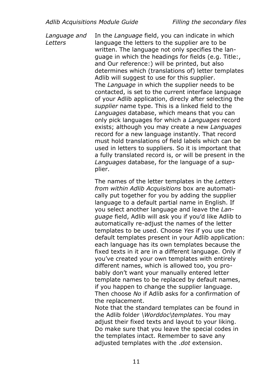*Language and Letters* In the *Language* field, you can indicate in which language the letters to the supplier are to be written. The language not only specifies the language in which the headings for fields (e.g. Title:, and Our reference:) will be printed, but also determines which (translations of) letter templates Adlib will suggest to use for this supplier. The *Language* in which the supplier needs to be contacted, is set to the current interface language of your Adlib application, direcly after selecting the *supplier* name type. This is a linked field to the *Languages* database, which means that you can only pick languages for which a *Languages* record exists; although you may create a new *Languages* record for a new language instantly. That record must hold translations of field labels which can be used in letters to suppliers. So it is important that a fully translated record is, or will be present in the *Languages* database, for the language of a supplier.

> The names of the letter templates in the *Letters from within Adlib Acquisitions* box are automatically put together for you by adding the supplier language to a default partial name in English. If you select another language and leave the *Language* field, Adlib will ask you if you'd like Adlib to automatically re-adjust the names of the letter templates to be used. Choose *Yes* if you use the default templates present in your Adlib application: each language has its own templates because the fixed texts in it are in a different language. Only if you've created your own templates with entirely different names, which is allowed too, you probably don't want your manually entered letter template names to be replaced by default names, if you happen to change the supplier language. Then choose *No* if Adlib asks for a confirmation of the replacement.

Note that the standard templates can be found in the Adlib folder *\Worddoc\templates*. You may adjust their fixed texts and layout to your liking. Do make sure that you leave the special codes in the templates intact. Remember to save any adjusted templates with the .*dot* extension.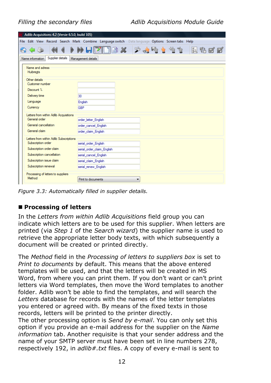| Adlib Acquisitions 4.2 (Versie 6.5.0, build 105)                                               |                              |                                                                   |        |
|------------------------------------------------------------------------------------------------|------------------------------|-------------------------------------------------------------------|--------|
| File Edit View Record Search Mark Combine Language switch Datalanguage Options Screentabs Help |                              |                                                                   |        |
| <b>AD</b>                                                                                      | $\mathbb{Z}$ in $\mathbb{X}$ | $\frac{1}{2}$ and $\frac{1}{2}$ by $\frac{1}{2}$ by $\frac{1}{2}$ | 2. 升了了 |
| Supplier details<br>Name information                                                           | Management details           |                                                                   |        |
| Name and adress<br><b>Huibreats</b>                                                            |                              |                                                                   |        |
| Other details                                                                                  |                              |                                                                   |        |
| Customer number                                                                                |                              |                                                                   |        |
| Discount %                                                                                     |                              |                                                                   |        |
| Delivery time                                                                                  | 30                           |                                                                   |        |
| Language                                                                                       | English                      |                                                                   |        |
| Currency                                                                                       | GBP                          |                                                                   |        |
| Letters from within Adlib Acquisitions                                                         |                              |                                                                   |        |
| General order                                                                                  | order_letter_English         |                                                                   |        |
| General cancellation                                                                           | order cancel English         |                                                                   |        |
| General claim                                                                                  | order claim English          |                                                                   |        |
| Letters from within Adlib Subscriptions                                                        |                              |                                                                   |        |
| Subscription order                                                                             | serial order English         |                                                                   |        |
| Subscription order claim                                                                       | serial_order_claim_English   |                                                                   |        |
| Subscription cancellation                                                                      | serial cancel English        |                                                                   |        |
| Subscription issue claim                                                                       | serial claim English         |                                                                   |        |
| Subscription renewal                                                                           | serial renew English         |                                                                   |        |
| Processing of letters to suppliers                                                             |                              |                                                                   |        |
| Method                                                                                         | Print to documents           |                                                                   |        |

*Figure 3.3: Automatically filled in supplier details.*

#### ■ Processing of letters

In the *Letters from within Adlib Acquisitions* field group you can indicate which letters are to be used for this supplier. When letters are printed (via *Step 1* of the *Search wizard*) the supplier name is used to retrieve the appropriate letter body texts, with which subsequently a document will be created or printed directly.

The *Method* field in the *Processing of letters to suppliers box* is set to *Print to documents* by default. This means that the above entered templates will be used, and that the letters will be created in MS Word, from where you can print them. If you don't want or can't print letters via Word templates, then move the Word templates to another folder. Adlib won't be able to find the templates, and will search the *Letters* database for records with the names of the letter templates you entered or agreed with. By means of the fixed texts in those records, letters will be printed to the printer directly.

The other processing option is *Send by e-mail*. You can only set this option if you provide an e-mail address for the supplier on the *Name information* tab. Another requisite is that your sender address and the name of your SMTP server must have been set in line numbers 278, respectively 192, in *adlib#.txt* files. A copy of every e-mail is sent to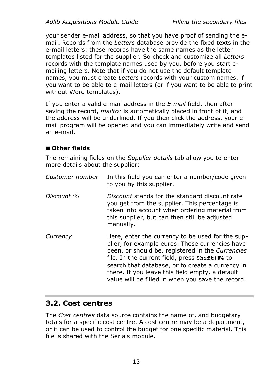your sender e-mail address, so that you have proof of sending the email. Records from the *Letters* database provide the fixed texts in the e-mail letters: these records have the same names as the letter templates listed for the supplier. So check and customize all *Letters* records with the template names used by you, before you start emailing letters. Note that if you do not use the default template names, you must create *Letters* records with your custom names, if you want to be able to e-mail letters (or if you want to be able to print without Word templates).

If you enter a valid e-mail address in the *E-mail* field, then after saving the record, *mailto:* is automatically placed in front of it, and the address will be underlined. If you then click the address, your email program will be opened and you can immediately write and send an e-mail.

#### ◼ **Other fields**

The remaining fields on the *Supplier details* tab allow you to enter more details about the supplier:

| Customer number | In this field you can enter a number/code given<br>to you by this supplier.                                                                                                                                                                                                                                                                                          |
|-----------------|----------------------------------------------------------------------------------------------------------------------------------------------------------------------------------------------------------------------------------------------------------------------------------------------------------------------------------------------------------------------|
| Discount %      | Discount stands for the standard discount rate<br>you get from the supplier. This percentage is<br>taken into account when ordering material from<br>this supplier, but can then still be adjusted<br>manually.                                                                                                                                                      |
| Currency        | Here, enter the currency to be used for the sup-<br>plier, for example euros. These currencies have<br>been, or should be, registered in the Currencies<br>file. In the current field, press shift+F4 to<br>search that database, or to create a currency in<br>there. If you leave this field empty, a default<br>value will be filled in when you save the record. |

### **3.2. Cost centres**

The *Cost centres* data source contains the name of, and budgetary totals for a specific cost centre. A cost centre may be a department, or it can be used to control the budget for one specific material. This file is shared with the Serials module.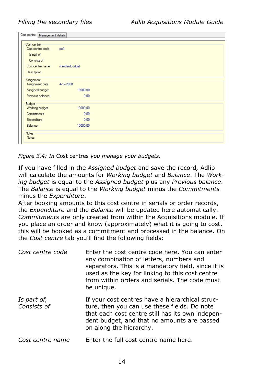| Cost centre<br>Management details |                |  |
|-----------------------------------|----------------|--|
| Cost centre                       |                |  |
| Cost centre code                  | cc1            |  |
| Is part of                        |                |  |
| Consists of                       |                |  |
| Cost centre name                  | standardbudget |  |
| Description                       |                |  |
| Assignment                        |                |  |
| Assignment date                   | 4-12-2008      |  |
| Assigned budget                   | 10000.00       |  |
| Previous balance                  | 0.00           |  |
| Budget                            |                |  |
| Working budget                    | 10000.00       |  |
| Commitments                       | 0.00           |  |
| Expenditure                       | 0.00           |  |
| Balance                           | 10000.00       |  |
| Notes                             |                |  |
| <b>Notes</b>                      |                |  |

*Figure 3.4: In* Cost centres *you manage your budgets.*

If you have filled in the *Assigned budget* and save the record*,* Adlib will calculate the amounts for *Working budget* and *Balance*. The *Working budget* is equal to the *Assigned budget* plus any *Previous balance*. The *Balance* is equal to the *Working budget* minus the *Commitments* minus the *Expenditure*.

After booking amounts to this cost centre in serials or order records, the *Expenditure* and the *Balance* will be updated here automatically. *Commitments* are only created from within the Acquisitions module. If you place an order and know (approximately) what it is going to cost, this will be booked as a commitment and processed in the balance. On the *Cost centre* tab you'll find the following fields:

| Cost centre code           | Enter the cost centre code here. You can enter<br>any combination of letters, numbers and<br>separators. This is a mandatory field, since it is<br>used as the key for linking to this cost centre<br>from within orders and serials. The code must<br>be unique. |
|----------------------------|-------------------------------------------------------------------------------------------------------------------------------------------------------------------------------------------------------------------------------------------------------------------|
| Is part of,<br>Consists of | If your cost centres have a hierarchical struc-<br>ture, then you can use these fields. Do note<br>that each cost centre still has its own indepen-<br>dent budget, and that no amounts are passed<br>on along the hierarchy.                                     |
| Cost centre name           | Enter the full cost centre name here.                                                                                                                                                                                                                             |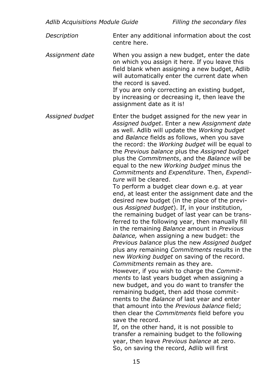*Description* Enter any additional information about the cost centre here.

*Assignment date* When you assign a new budget, enter the date on which you assign it here. If you leave this field blank when assigning a new budget, Adlib will automatically enter the current date when the record is saved.

If you are only correcting an existing budget, by increasing or decreasing it, then leave the assignment date as it is!

*Assigned budget* Enter the budget assigned for the new year in *Assigned budget*. Enter a new *Assignment date* as well. Adlib will update the *Working budget* and *Balance* fields as follows, when you save the record: the *Working budget* will be equal to the *Previous balance* plus the *Assigned budget* plus the *Commitments*, and the *Balance* will be equal to the new *Working budget* minus the *Commitments* and *Expenditure*. Then, *Expenditure* will be cleared.

> To perform a budget clear down e.g. at year end, at least enter the assignment date and the desired new budget (in the place of the previous *Assigned budget*). If, in your institution, the remaining budget of last year can be transferred to the following year, then manually fill in the remaining *Balance* amount in *Previous balance,* when assigning a new budget: the *Previous balance* plus the new *Assigned budget* plus any remaining *Commitments* results in the new *Working budget* on saving of the record. *Commitments* remain as they are.

However, if you wish to charge the *Commitments* to last years budget when assigning a new budget, and you do want to transfer the remaining budget, then add those commitments to the *Balance* of last year and enter that amount into the *Previous balance* field; then clear the *Commitments* field before you save the record.

If, on the other hand, it is not possible to transfer a remaining budget to the following year, then leave *Previous balance* at zero. So, on saving the record, Adlib will first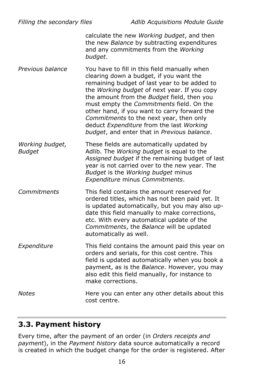*Filling the secondary files Adlib Acquisitions Module Guide* calculate the new *Working budget*, and then the new *Balance* by subtracting expenditures and any commitments from the *Working budget*.

*Previous balance* You have to fill in this field manually when clearing down a budget, if you want the remaining budget of last year to be added to the *Working budget* of next year. If you copy the amount from the *Budget* field, then you must empty the *Commitments* field. On the other hand, if you want to carry forward the *Commitments* to the next year, then only deduct *Expenditure* from the last *Working budget*, and enter that in *Previous balance*.

*Working budget, Budget* These fields are automatically updated by Adlib. The *Working budget* is equal to the *Assigned budget* if the remaining budget of last year is not carried over to the new year. The *Budget* is the *Working budget* minus *Expenditure* minus *Commitments*.

*Commitments* This field contains the amount reserved for ordered titles, which has not been paid yet. It is updated automatically, but you may also update this field manually to make corrections, etc. With every automatical update of the *Commitments*, the *Balance* will be updated automatically as well.

*Expenditure* This field contains the amount paid this year on orders and serials, for this cost centre. This field is updated automatically when you book a payment, as is the *Balance*. However, you may also edit this field manually, for instance to make corrections.

*Notes* **Here you can enter any other details about this** cost centre.

### **3.3. Payment history**

Every time, after the payment of an order (in *Orders receipts and payment*), in the *Payment history* data source automatically a record is created in which the budget change for the order is registered. After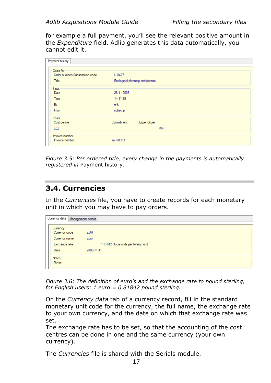for example a full payment, you'll see the relevant positive amount in the *Expenditure* field. Adlib generates this data automatically, you cannot edit it.

| Payment history                                             |                        |                                 |
|-------------------------------------------------------------|------------------------|---------------------------------|
| Costs for<br>Order number/Subscription code<br><b>Title</b> | lu-0477                | Ecological planning and permits |
| Input<br>Date<br><b>Time</b>                                | 26-11-2008<br>14:11:39 |                                 |
| By<br>From                                                  | erik<br>subscrip       |                                 |
| Costs<br>Cost centre                                        | Commitment             | Expenditure                     |
| cc2                                                         |                        | 860                             |
| Invoice number<br>Invoice number                            | inv-08993              |                                 |

*Figure 3.5: Per ordered title, every change in the payments is automatically registered in* Payment history*.*

#### **3.4. Currencies**

In the *Currencies* file, you have to create records for each monetary unit in which you may have to pay orders.

|                                            | Currency data   Management details |                                      |
|--------------------------------------------|------------------------------------|--------------------------------------|
| Currency<br>Currency code<br>Currency name | <b>EUR</b><br>Euro                 |                                      |
| Exchange rate                              |                                    | 1.81842 local units per foreign unit |
| Date                                       | 2008-11-11                         |                                      |
| <b>Notes</b><br>Notes                      |                                    |                                      |

*Figure 3.6: The definition of euro's and the exchange rate to pound sterling, for English users: 1 euro = 0.81842 pound sterling.*

On the *Currency data* tab of a currency record, fill in the standard monetary unit code for the currency, the full name, the exchange rate to your own currency, and the date on which that exchange rate was set.

The exchange rate has to be set, so that the accounting of the cost centres can be done in one and the same currency (your own currency).

The *Currencies* file is shared with the Serials module.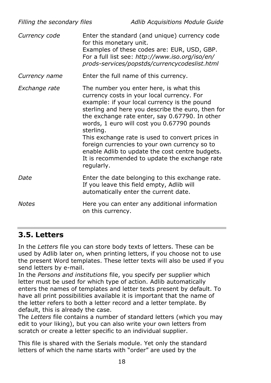| Filling the secondary files |                         | Adlib Acquisitions Module Guide                                                                                                                                                                                                                                                                                                                                                                                                                                                                    |
|-----------------------------|-------------------------|----------------------------------------------------------------------------------------------------------------------------------------------------------------------------------------------------------------------------------------------------------------------------------------------------------------------------------------------------------------------------------------------------------------------------------------------------------------------------------------------------|
| Currency code               | for this monetary unit. | Enter the standard (and unique) currency code<br>Examples of these codes are: EUR, USD, GBP.<br>For a full list see: http://www.iso.org/iso/en/<br>prods-services/popstds/currencycodeslist.html                                                                                                                                                                                                                                                                                                   |
| Currency name               |                         | Enter the full name of this currency.                                                                                                                                                                                                                                                                                                                                                                                                                                                              |
| Exchange rate               | sterling.<br>regularly. | The number you enter here, is what this<br>currency costs in your local currency. For<br>example: if your local currency is the pound<br>sterling and here you describe the euro, then for<br>the exchange rate enter, say 0.67790. In other<br>words, 1 euro will cost you 0.67790 pounds<br>This exchange rate is used to convert prices in<br>foreign currencies to your own currency so to<br>enable Adlib to update the cost centre budgets.<br>It is recommended to update the exchange rate |
| Date                        |                         | Enter the date belonging to this exchange rate.<br>If you leave this field empty, Adlib will<br>automatically enter the current date.                                                                                                                                                                                                                                                                                                                                                              |
| Notes                       | on this currency.       | Here you can enter any additional information                                                                                                                                                                                                                                                                                                                                                                                                                                                      |

#### **3.5. Letters**

In the *Letters* file you can store body texts of letters. These can be used by Adlib later on, when printing letters, if you choose not to use the present Word templates. These letter texts will also be used if you send letters by e-mail.

In the *Persons and institutions* file, you specify per supplier which letter must be used for which type of action. Adlib automatically enters the names of templates and letter texts present by default. To have all print possibilities available it is important that the name of the letter refers to both a letter record and a letter template. By default, this is already the case.

The *Letters* file contains a number of standard letters (which you may edit to your liking), but you can also write your own letters from scratch or create a letter specific to an individual supplier.

This file is shared with the Serials module. Yet only the standard letters of which the name starts with "order" are used by the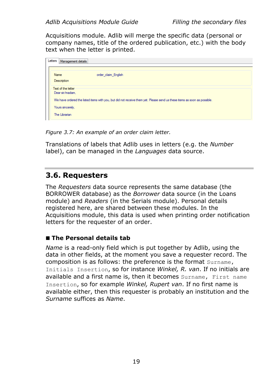Acquisitions module. Adlib will merge the specific data (personal or company names, title of the ordered publication, etc.) with the body text when the letter is printed.

| Letters |      | Management details                                                                                                                                                                                     |
|---------|------|--------------------------------------------------------------------------------------------------------------------------------------------------------------------------------------------------------|
|         | Name | order claim English<br>Description                                                                                                                                                                     |
|         |      | Text of the letter<br>Dear sir/madam.<br>We have ordered the listed items with you, but did not receive them yet. Please send us these items as soon as possible.<br>Yours sincerely,<br>The Librarian |

*Figure 3.7: An example of an order claim letter.*

Translations of labels that Adlib uses in letters (e.g. the *Number* label), can be managed in the *Languages* data source.

### **3.6. Requesters**

The *Requesters* data source represents the same database (the BORROWER database) as the *Borrower* data source (in the Loans module) and *Readers* (in the Serials module). Personal details registered here, are shared between these modules. In the Acquisitions module, this data is used when printing order notification letters for the requester of an order.

#### ◼ **The Personal details tab**

*Name* is a read-only field which is put together by Adlib, using the data in other fields, at the moment you save a requester record. The composition is as follows: the preference is the format Surname, Initials Insertion, so for instance *Winkel, R. van*. If no initials are available and a first name is, then it becomes Surname, First name Insertion, so for example *Winkel, Rupert van*. If no first name is available either, then this requester is probably an institution and the *Surname* suffices as *Name*.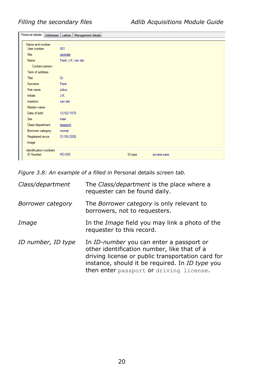| Personal details                           | Addresses   Letters   Management details |  |
|--------------------------------------------|------------------------------------------|--|
| Name and number<br>User number             | 001                                      |  |
| Site                                       | centrale                                 |  |
| Name                                       | Parel, J.K. van der                      |  |
| Contact person                             |                                          |  |
| Term of address                            |                                          |  |
| Title                                      | Dr.                                      |  |
| Sumame                                     | Parel                                    |  |
| First name                                 | Julius                                   |  |
| <b>Initials</b>                            | J.K.                                     |  |
| Insertion                                  | van der                                  |  |
| Maiden name                                |                                          |  |
| Date of birth                              | 12/02/1970                               |  |
| Sex                                        | male                                     |  |
| Class/department                           | research                                 |  |
| Borrower category                          | nomal                                    |  |
| Registered since                           | 01/08/2008                               |  |
| Image                                      |                                          |  |
| Identification numbers<br><b>ID Number</b> | RD-059<br>ID type<br>access pass         |  |

*Figure 3.8: An example of a filled in* Personal details *screen tab.*

| Class/department   | The Class/department is the place where a<br>requester can be found daily.                                                                                                                                                                 |
|--------------------|--------------------------------------------------------------------------------------------------------------------------------------------------------------------------------------------------------------------------------------------|
| Borrower category  | The <i>Borrower category</i> is only relevant to<br>borrowers, not to requesters.                                                                                                                                                          |
| Image              | In the <i>Image</i> field you may link a photo of the<br>requester to this record.                                                                                                                                                         |
| ID number, ID type | In ID-number you can enter a passport or<br>other identification number, like that of a<br>driving license or public transportation card for<br>instance, should it be required. In ID type you<br>then enter passport or driving license. |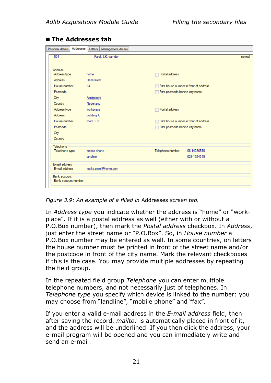| Personal details                           | Addresses    | Letters   Management details |                  |                                        |
|--------------------------------------------|--------------|------------------------------|------------------|----------------------------------------|
| 001                                        |              | Parel, J.K. van der          |                  | nomal                                  |
|                                            |              |                              |                  |                                        |
| <b>Address</b><br>Address type             | home         |                              | Postal address   |                                        |
| <b>Address</b>                             | Hazelstreet  |                              |                  |                                        |
| House number                               | 14           |                              |                  | Print house number in front of address |
| Postcode                                   |              |                              |                  | Print postcode behind city name        |
| City                                       | Amsteloord   |                              |                  |                                        |
| Country                                    | Nederland    |                              |                  |                                        |
| Address type                               | workplace    |                              | Postal address   |                                        |
| <b>Address</b>                             | building A   |                              |                  |                                        |
| House number                               | room 102     |                              |                  | Print house number in front of address |
| Postcode                                   |              |                              |                  | Print postcode behind city name        |
| City                                       |              |                              |                  |                                        |
| Country                                    |              |                              |                  |                                        |
| Telephone                                  |              |                              |                  |                                        |
| Telephone type                             | mobile phone |                              | Telephone number | 06-14236590                            |
|                                            | landline     |                              |                  | 029-1524349                            |
| F-mail address                             |              |                              |                  |                                        |
| E-mail address                             |              | mailto:parel@home.com        |                  |                                        |
| <b>Bank account</b><br>Bank account number |              |                              |                  |                                        |
|                                            |              |                              |                  |                                        |

#### ◼ **The Addresses tab**

*Figure 3.9: An example of a filled in* Addresses *screen tab.*

In *Address type* you indicate whether the address is "home" or "workplace". If it is a postal address as well (either with or without a P.O.Box number), then mark the *Postal address* checkbox. In *Address*, just enter the street name or "P.O.Box". So, in *House number* a P.O.Box number may be entered as well. In some countries, on letters the house number must be printed in front of the street name and/or the postcode in front of the city name. Mark the relevant checkboxes if this is the case. You may provide multiple addresses by repeating the field group.

In the repeated field group *Telephone* you can enter multiple telephone numbers, and not necessarily just of telephones. In *Telephone type* you specify which device is linked to the number: you may choose from "landline", "mobile phone" and "fax".

If you enter a valid e-mail address in the *E-mail address* field, then after saving the record, *mailto:* is automatically placed in front of it, and the address will be underlined. If you then click the address, your e-mail program will be opened and you can immediately write and send an e-mail.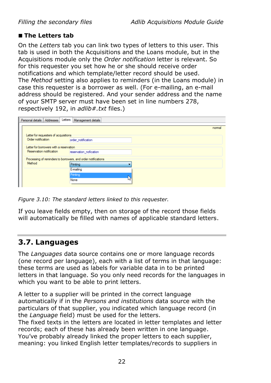#### ■ The Letters tab

On the *Letters* tab you can link two types of letters to this user. This tab is used in both the Acquisitions and the Loans module, but in the Acquisitions module only the *Order notification* letter is relevant. So for this requester you set how he or she should receive order notifications and which template/letter record should be used. The *Method* setting also applies to reminders (in the Loans module) in case this requester is a borrower as well. (For e-mailing, an e-mail address should be registered. And your sender address and the name of your SMTP server must have been set in line numbers 278, respectively 192, in *adlib#.txt* files.)

| Personal details   Addresses                                  | Letters Management details |
|---------------------------------------------------------------|----------------------------|
|                                                               | nomal                      |
| Letter for requesters of acquisitions                         |                            |
| Order notification                                            | order notification         |
| Letter for borrowers with a reservation                       |                            |
| Reservation notification                                      | reservation nofication     |
| Processing of reminders to borrowers, and order notifications |                            |
| Method                                                        | Printing                   |
|                                                               | E-mailing                  |
|                                                               | Printing                   |
|                                                               | None                       |
|                                                               |                            |

*Figure 3.10: The standard letters linked to this requester.*

If you leave fields empty, then on storage of the record those fields will automatically be filled with names of applicable standard letters.

### **3.7. Languages**

The *Languages* data source contains one or more language records (one record per language), each with a list of terms in that language: these terms are used as labels for variable data in to be printed letters in that language. So you only need records for the languages in which you want to be able to print letters.

A letter to a supplier will be printed in the correct language automatically if in the *Persons and institutions* data source with the particulars of that supplier, you indicated which language record (in the *Language* field) must be used for the letters.

The fixed texts in the letters are located in letter templates and letter records; each of these has already been written in one language. You've probably already linked the proper letters to each supplier, meaning: you linked English letter templates/records to suppliers in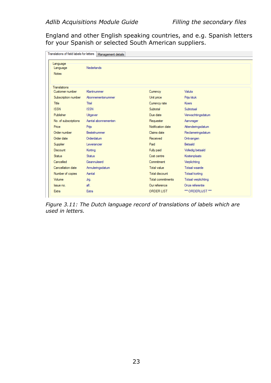England and other English speaking countries, and e.g. Spanish letters for your Spanish or selected South American suppliers.

| Translations of field labels for letters | Management details  |                   |                       |  |
|------------------------------------------|---------------------|-------------------|-----------------------|--|
| Language<br>Language<br><b>Notes</b>     | Nederlands          |                   |                       |  |
|                                          |                     |                   |                       |  |
| <b>Translations</b>                      |                     |                   |                       |  |
| Customer number                          | Klantnummer         | Currency          | Valuta                |  |
| Subscription number                      | Abonnementsnummer   | Unit price        | Priis/stuk            |  |
| <b>Title</b>                             | Titel               | Currency rate     | <b>Koers</b>          |  |
| <b>ISSN</b>                              | <b>ISSN</b>         | Subtotal          | Subtotaal             |  |
| Publisher                                | Uitgever            | Due date          | Verwachtingsdatum     |  |
| No. of subscriptions                     | Aantal abonnementen | Requester         | Aanvrager             |  |
| Price                                    | Prijs               | Notification date | Attenderingsdatum     |  |
| Order number                             | Bestelnummer        | Claims date       | Reclameringsdatum     |  |
| Order date                               | Orderdatum          | Received          | Ontvangen             |  |
| Supplier                                 | Leverancier         | Paid              | <b>Betaald</b>        |  |
| Discount                                 | Korting             | Fully paid        | Volledig betaald      |  |
| <b>Status</b>                            | <b>Status</b>       | Cost centre       | Kostenplaats          |  |
| Cancelled                                | Geannuleerd         | Commitment        | Verplichting          |  |
| Cancellation date                        | Annuleringsdatum    | Total value       | Totaal waarde         |  |
| Number of copies                         | Aantal              | Total discount    | <b>Totaal korting</b> |  |
| Volume                                   | Jrg.                | Total commitments | Totaal verplichting   |  |
| Issue no.                                | afl.                | Our reference     | Onze referentie       |  |
| Extra                                    | Extra               | <b>ORDER LIST</b> | *** ORDERLIJST ***    |  |

*Figure 3.11: The Dutch language record of translations of labels which are used in letters.*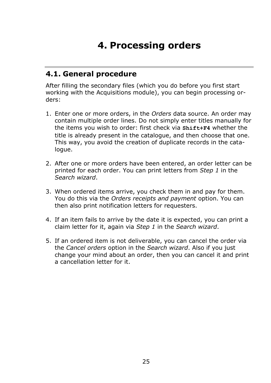### **4. Processing orders**

### **4.1. General procedure**

After filling the secondary files (which you do before you first start working with the Acquisitions module), you can begin processing orders:

- 1. Enter one or more orders, in the *Orders* data source. An order may contain multiple order lines. Do not simply enter titles manually for the items you wish to order: first check via **Shift+F4** whether the title is already present in the catalogue, and then choose that one. This way, you avoid the creation of duplicate records in the catalogue.
- 2. After one or more orders have been entered, an order letter can be printed for each order. You can print letters from *Step 1* in the *Search wizard*.
- 3. When ordered items arrive, you check them in and pay for them. You do this via the *Orders receipts and payment* option. You can then also print notification letters for requesters.
- 4. If an item fails to arrive by the date it is expected, you can print a claim letter for it, again via *Step 1* in the *Search wizard*.
- 5. If an ordered item is not deliverable, you can cancel the order via the *Cancel orders* option in the *Search wizard*. Also if you just change your mind about an order, then you can cancel it and print a cancellation letter for it.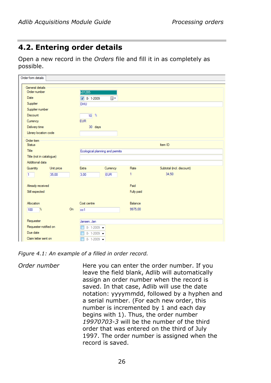### **4.2. Entering order details**

Open a new record in the *Orders* file and fill it in as completely as possible.

| Order form details          |                     |                                |                                 |            |                           |  |
|-----------------------------|---------------------|--------------------------------|---------------------------------|------------|---------------------------|--|
| General details             |                     |                                |                                 |            |                           |  |
| Order number                |                     | b01285                         |                                 |            |                           |  |
| Date                        | $\sqrt{8}$ - 1-2009 | $\blacksquare$                 |                                 |            |                           |  |
| Supplier                    |                     | DHU                            |                                 |            |                           |  |
| Supplier number             |                     |                                |                                 |            |                           |  |
| <b>Discount</b>             |                     | $10^{9}$                       |                                 |            |                           |  |
| Currency                    |                     | <b>EUR</b>                     |                                 |            |                           |  |
| Delivery time               |                     | 30 days                        |                                 |            |                           |  |
| Library location code       |                     |                                |                                 |            |                           |  |
| Order item<br><b>Status</b> |                     |                                |                                 |            | Item ID                   |  |
| Title                       |                     |                                |                                 |            |                           |  |
|                             |                     |                                | Ecological planning and permits |            |                           |  |
| Title (not in catalogue)    |                     |                                |                                 |            |                           |  |
| Additional data             |                     |                                |                                 |            |                           |  |
| Quantity<br>Unit price      |                     | Extra                          | Currency                        | Rate       | Subtotal (incl. discount) |  |
| $\overline{1}$<br>35.00     |                     | 3.00                           | <b>EUR</b>                      | 1          | 34.50                     |  |
| Already received            |                     |                                |                                 | Paid       |                           |  |
| Still expected              |                     |                                |                                 | Fully paid |                           |  |
|                             |                     |                                |                                 |            |                           |  |
| Allocation                  |                     | Cost centre                    |                                 | Balance    |                           |  |
| $\frac{1}{2}$<br>100        | On                  | cc1                            |                                 | 9975.00    |                           |  |
|                             |                     |                                |                                 |            |                           |  |
| Requester                   |                     | Jansen, Jan                    |                                 |            |                           |  |
| Requester notified on       |                     | $8 - 1 - 2009$ $\bullet$       |                                 |            |                           |  |
| Due date                    |                     | 8-1-2009 $\blacktriangleright$ |                                 |            |                           |  |
| Claim letter sent on        |                     | 8-1-2009 $\rightarrow$         |                                 |            |                           |  |

*Figure 4.1: An example of a filled in order record.*

*Order number* Here you can enter the order number. If you leave the field blank, Adlib will automatically assign an order number when the record is saved. In that case, Adlib will use the date notation: yyyymmdd, followed by a hyphen and a serial number. (For each new order, this number is incremented by 1 and each day begins with 1). Thus, the order number *19970703-3* will be the number of the third order that was entered on the third of July 1997. The order number is assigned when the record is saved.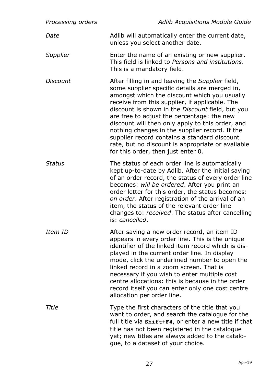| Processing orders | Adlib Acquisitions Module Guide                                                                                                                                                                                                                                                                                                                                                                                                                                                                                                                        |
|-------------------|--------------------------------------------------------------------------------------------------------------------------------------------------------------------------------------------------------------------------------------------------------------------------------------------------------------------------------------------------------------------------------------------------------------------------------------------------------------------------------------------------------------------------------------------------------|
| Date              | Adlib will automatically enter the current date,<br>unless you select another date.                                                                                                                                                                                                                                                                                                                                                                                                                                                                    |
| Supplier          | Enter the name of an existing or new supplier.<br>This field is linked to Persons and institutions.<br>This is a mandatory field.                                                                                                                                                                                                                                                                                                                                                                                                                      |
| Discount          | After filling in and leaving the Supplier field,<br>some supplier specific details are merged in,<br>amongst which the discount which you usually<br>receive from this supplier, if applicable. The<br>discount is shown in the Discount field, but you<br>are free to adjust the percentage: the new<br>discount will then only apply to this order, and<br>nothing changes in the supplier record. If the<br>supplier record contains a standard discount<br>rate, but no discount is appropriate or available<br>for this order, then just enter 0. |
| Status            | The status of each order line is automatically<br>kept up-to-date by Adlib. After the initial saving<br>of an order record, the status of every order line<br>becomes: will be ordered. After you print an<br>order letter for this order, the status becomes:<br>on order. After registration of the arrival of an<br>item, the status of the relevant order line<br>changes to: received. The status after cancelling<br>is: cancelled.                                                                                                              |
| Item ID           | After saving a new order record, an item ID<br>appears in every order line. This is the unique<br>identifier of the linked item record which is dis-<br>played in the current order line. In display<br>mode, click the underlined number to open the<br>linked record in a zoom screen. That is<br>necessary if you wish to enter multiple cost<br>centre allocations: this is because in the order<br>record itself you can enter only one cost centre<br>allocation per order line.                                                                 |
| Title             | Type the first characters of the title that you<br>want to order, and search the catalogue for the<br>full title via shift+F4, or enter a new title if that<br>title has not been registered in the catalogue<br>yet; new titles are always added to the catalo-<br>gue, to a dataset of your choice.                                                                                                                                                                                                                                                  |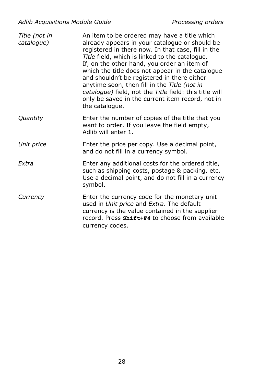| Title (not in<br>catalogue) | An item to be ordered may have a title which<br>already appears in your catalogue or should be<br>registered in there now. In that case, fill in the<br>Title field, which is linked to the catalogue.<br>If, on the other hand, you order an item of<br>which the title does not appear in the catalogue<br>and shouldn't be registered in there either<br>anytime soon, then fill in the Title (not in<br>catalogue) field, not the Title field: this title will<br>only be saved in the current item record, not in<br>the catalogue. |
|-----------------------------|------------------------------------------------------------------------------------------------------------------------------------------------------------------------------------------------------------------------------------------------------------------------------------------------------------------------------------------------------------------------------------------------------------------------------------------------------------------------------------------------------------------------------------------|
| Quantity                    | Enter the number of copies of the title that you<br>want to order. If you leave the field empty,<br>Adlib will enter 1.                                                                                                                                                                                                                                                                                                                                                                                                                  |
| Unit price                  | Enter the price per copy. Use a decimal point,<br>and do not fill in a currency symbol.                                                                                                                                                                                                                                                                                                                                                                                                                                                  |
| <b>Fxtra</b>                | Enter any additional costs for the ordered title,<br>such as shipping costs, postage & packing, etc.<br>Use a decimal point, and do not fill in a currency<br>symbol.                                                                                                                                                                                                                                                                                                                                                                    |
| Currency                    | Enter the currency code for the monetary unit<br>used in Unit price and Extra. The default<br>currency is the value contained in the supplier<br>record. Press shift+F4 to choose from available<br>currency codes.                                                                                                                                                                                                                                                                                                                      |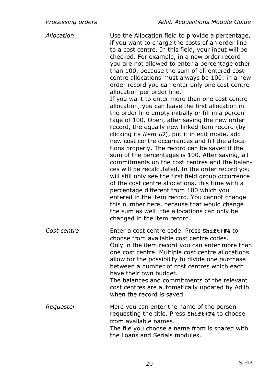*Allocation* Use the Allocation field to provide a percentage, if you want to charge the costs of an order line to a cost centre. In this field, your input will be checked. For example, in a new order record you are not allowed to enter a percentage other than 100, because the sum of all entered cost centre allocations must always be 100: in a new order record you can enter only one cost centre allocation per order line. If you want to enter more than one cost centre allocation, you can leave the first allocation in the order line empty initially or fill in a percentage of 100. Open, after saving the new order record, the equally new linked item record (by clicking its *Item ID*), put it in edit mode, add new cost centre occurrences and fill the allocations properly. The record can be saved if the sum of the percentages is 100. After saving, all commitments on the cost centres and the balances will be recalculated. In the order record you will still only see the first field group occurrence of the cost centre allocations, this time with a percentage different from 100 which you entered in the item record. You cannot change this number here, because that would change the sum as well: the allocations can only be changed in the item record. *Cost centre* Enter a cost centre code. Press **Shift+F4** to choose from available cost centre codes. Only in the item record you can enter more than one cost centre. Multiple cost centre allocations allow for the possibility to divide one purchase between a number of cost centres which each have their own budget. The balances and commitments of the relevant cost centres are automatically updated by Adlib when the record is saved. *Requester* Here you can enter the name of the person requesting the title. Press **Shift+F4** to choose from available names. The file you choose a name from is shared with the Loans and Serials modules.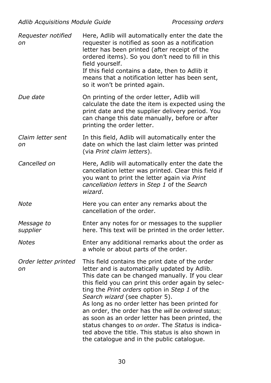| Requester notified<br>on   | Here, Adlib will automatically enter the date the<br>requester is notified as soon as a notification<br>letter has been printed (after receipt of the<br>ordered items). So you don't need to fill in this<br>field yourself.                                                                                                                                                                                                                                                                                                                                                                                       |
|----------------------------|---------------------------------------------------------------------------------------------------------------------------------------------------------------------------------------------------------------------------------------------------------------------------------------------------------------------------------------------------------------------------------------------------------------------------------------------------------------------------------------------------------------------------------------------------------------------------------------------------------------------|
|                            | If this field contains a date, then to Adlib it<br>means that a notification letter has been sent,<br>so it won't be printed again.                                                                                                                                                                                                                                                                                                                                                                                                                                                                                 |
| Due date                   | On printing of the order letter, Adlib will<br>calculate the date the item is expected using the<br>print date and the supplier delivery period. You<br>can change this date manually, before or after<br>printing the order letter.                                                                                                                                                                                                                                                                                                                                                                                |
| Claim letter sent<br>оn    | In this field, Adlib will automatically enter the<br>date on which the last claim letter was printed<br>(via Print claim letters).                                                                                                                                                                                                                                                                                                                                                                                                                                                                                  |
| Cancelled on               | Here, Adlib will automatically enter the date the<br>cancellation letter was printed. Clear this field if<br>you want to print the letter again via Print<br>cancellation letters in Step 1 of the Search<br>wizard.                                                                                                                                                                                                                                                                                                                                                                                                |
| Note                       | Here you can enter any remarks about the<br>cancellation of the order.                                                                                                                                                                                                                                                                                                                                                                                                                                                                                                                                              |
| Message to<br>supplier     | Enter any notes for or messages to the supplier<br>here. This text will be printed in the order letter.                                                                                                                                                                                                                                                                                                                                                                                                                                                                                                             |
| Notes                      | Enter any additional remarks about the order as<br>a whole or about parts of the order.                                                                                                                                                                                                                                                                                                                                                                                                                                                                                                                             |
| Order letter printed<br>on | This field contains the print date of the order<br>letter and is automatically updated by Adlib.<br>This date can be changed manually. If you clear<br>this field you can print this order again by selec-<br>ting the Print orders option in Step 1 of the<br>Search wizard (see chapter 5).<br>As long as no order letter has been printed for<br>an order, the order has the will be ordered status;<br>as soon as an order letter has been printed, the<br>status changes to on order. The Status is indica-<br>ted above the title. This status is also shown in<br>the catalogue and in the public catalogue. |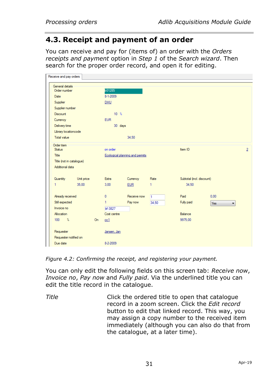### **4.3. Receipt and payment of an order**

You can receive and pay for (items of) an order with the *Orders receipts and payment* option in *Step 1* of the *Search wizard*. Then search for the proper order record, and open it for editing.

| Receive and pay orders   |            |    |                 |                                |       |                           |      |                |
|--------------------------|------------|----|-----------------|--------------------------------|-------|---------------------------|------|----------------|
| General details          |            |    |                 |                                |       |                           |      |                |
| Order number             |            |    | b01285          |                                |       |                           |      |                |
| Date                     |            |    | $8 - 1 - 2009$  |                                |       |                           |      |                |
| Supplier                 |            |    | <b>DHU</b>      |                                |       |                           |      |                |
| Supplier number          |            |    |                 |                                |       |                           |      |                |
| Discount                 |            |    | 10 <sup>2</sup> |                                |       |                           |      |                |
| Currency                 |            |    | <b>EUR</b>      |                                |       |                           |      |                |
| Delivery time            |            |    | 30 days         |                                |       |                           |      |                |
| Library locationcode     |            |    |                 |                                |       |                           |      |                |
| <b>Total value</b>       |            |    |                 | 34.50                          |       |                           |      |                |
| Order item               |            |    |                 |                                |       |                           |      |                |
| <b>Status</b>            |            |    | on order        |                                |       | Item ID                   |      | $\overline{2}$ |
| Title                    |            |    |                 | Ecological planning and pemits |       |                           |      |                |
| Title (not in catalogue) |            |    |                 |                                |       |                           |      |                |
| Additional data          |            |    |                 |                                |       |                           |      |                |
| Quantity                 | Unit price |    | Extra           | Currency                       | Rate  | Subtotal (incl. discount) |      |                |
| 1                        | 35,00      |    | 3,00            | <b>EUR</b>                     | 1     | 34.50                     |      |                |
|                          |            |    |                 |                                |       |                           |      |                |
| Already received         |            |    | $\mathbf{0}$    | Receive now                    | 1     | Paid                      | 0.00 |                |
| Still expected           |            |    | 1.              | Pay now                        | 34.50 | Fully paid                | Yes  |                |
| Invoice no               |            |    | bf-3827         |                                |       |                           |      |                |
| Allocation               |            |    | Cost centre     |                                |       | Balance                   |      |                |
| $\gamma$<br>100          |            | On | cc1             |                                |       | 9975,00                   |      |                |
|                          |            |    |                 |                                |       |                           |      |                |
| Requester                |            |    | Jansen, Jan     |                                |       |                           |      |                |
| Requester notified on    |            |    |                 |                                |       |                           |      |                |
| Due date                 |            |    | $8 - 2 - 2009$  |                                |       |                           |      |                |
|                          |            |    |                 |                                |       |                           |      |                |

*Figure 4.2: Confirming the receipt, and registering your payment.*

You can only edit the following fields on this screen tab: *Receive now*, *Invoice no*, *Pay now* and *Fully paid*. Via the underlined title you can edit the title record in the catalogue.

*Title* Click the ordered title to open that catalogue record in a zoom screen. Click the *Edit record* button to edit that linked record. This way, you may assign a copy number to the received item immediately (although you can also do that from the catalogue, at a later time).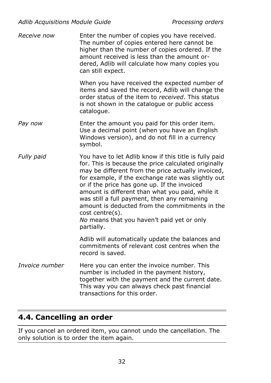| Receive now    | Enter the number of copies you have received.<br>The number of copies entered here cannot be<br>higher than the number of copies ordered. If the<br>amount received is less than the amount or-<br>dered, Adlib will calculate how many copies you<br>can still expect.                                                                                                                                                                                                                                               |
|----------------|-----------------------------------------------------------------------------------------------------------------------------------------------------------------------------------------------------------------------------------------------------------------------------------------------------------------------------------------------------------------------------------------------------------------------------------------------------------------------------------------------------------------------|
|                | When you have received the expected number of<br>items and saved the record, Adlib will change the<br>order status of the item to received. This status<br>is not shown in the catalogue or public access<br>catalogue.                                                                                                                                                                                                                                                                                               |
| Pay now        | Enter the amount you paid for this order item.<br>Use a decimal point (when you have an English<br>Windows version), and do not fill in a currency<br>symbol.                                                                                                                                                                                                                                                                                                                                                         |
| Fully paid     | You have to let Adlib know if this title is fully paid<br>for. This is because the price calculated originally<br>may be different from the price actually invoiced,<br>for example, if the exchange rate was slightly out<br>or if the price has gone up. If the invoiced<br>amount is different than what you paid, while it<br>was still a full payment, then any remaining<br>amount is deducted from the commitments in the<br>$cost$ centre $(s)$ .<br>No means that you haven't paid yet or only<br>partially. |
|                | Adlib will automatically update the balances and<br>commitments of relevant cost centres when the<br>record is saved.                                                                                                                                                                                                                                                                                                                                                                                                 |
| Invoice number | Here you can enter the invoice number. This<br>number is included in the payment history,<br>together with the payment and the current date.<br>This way you can always check past financial<br>transactions for this order.                                                                                                                                                                                                                                                                                          |

### **4.4. Cancelling an order**

If you cancel an ordered item, you cannot undo the cancellation. The only solution is to order the item again.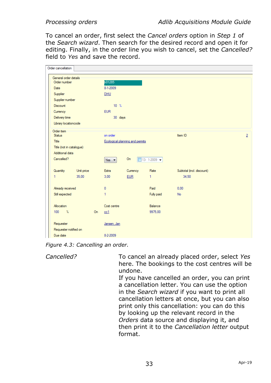To cancel an order, first select the *Cancel orders* option in *Step 1* of the *Search wizard*. Then search for the desired record and open it for editing. Finally, in the order line you wish to cancel, set the *Cancelled?* field to *Yes* and save the record.

| Order cancellation       |            |                |                                 |            |                               |                           |                |  |
|--------------------------|------------|----------------|---------------------------------|------------|-------------------------------|---------------------------|----------------|--|
| General order details    |            |                |                                 |            |                               |                           |                |  |
| Order number             |            |                | b01285                          |            |                               |                           |                |  |
| Date                     |            |                | 8-1-2009                        |            |                               |                           |                |  |
| Supplier                 |            |                | <b>DHU</b>                      |            |                               |                           |                |  |
| Supplier number          |            |                |                                 |            |                               |                           |                |  |
| Discount                 |            |                | $10^{9}$                        |            |                               |                           |                |  |
| Currency                 |            |                | <b>EUR</b>                      |            |                               |                           |                |  |
| Delivery time            |            |                | 30 days                         |            |                               |                           |                |  |
| Library locationcode     |            |                |                                 |            |                               |                           |                |  |
| Order item               |            |                |                                 |            |                               |                           |                |  |
| <b>Status</b>            |            |                | on order                        |            |                               | Item ID                   | $\overline{2}$ |  |
| Title                    |            |                | Ecological planning and permits |            |                               |                           |                |  |
| Title (not in catalogue) |            |                |                                 |            |                               |                           |                |  |
| Additional data          |            |                |                                 |            |                               |                           |                |  |
| Cancelled?               |            |                | Yes $\blacktriangledown$        | On         | $13 - 1 - 2009$ $\rightarrow$ |                           |                |  |
| Quantity                 | Unit price |                | <b>Extra</b>                    | Currency   | Rate                          | Subtotal (incl. discount) |                |  |
| 1                        | 35,00      |                | 3,00                            | <b>EUR</b> | 1                             | 34.50                     |                |  |
|                          |            |                |                                 |            |                               |                           |                |  |
| Already received         |            |                | n                               |            | Paid                          | 0.00                      |                |  |
| Still expected           |            |                | 1                               |            | Fully paid                    | <b>No</b>                 |                |  |
|                          |            |                |                                 |            |                               |                           |                |  |
| Allocation               |            |                | Cost centre                     |            | Balance                       |                           |                |  |
| $\mathcal{U}$<br>100     |            | O <sub>n</sub> | cc1                             |            | 9975.00                       |                           |                |  |
|                          |            |                |                                 |            |                               |                           |                |  |
| Requester                |            |                | Jansen, Jan                     |            |                               |                           |                |  |
| Requester notified on    |            |                |                                 |            |                               |                           |                |  |
| Due date                 |            |                | 8-2-2009                        |            |                               |                           |                |  |

*Figure 4.3: Cancelling an order.*

*Cancelled?* To cancel an already placed order, select *Yes* here. The bookings to the cost centres will be undone.

> If you have cancelled an order, you can print a cancellation letter. You can use the option in the *Search wizard* if you want to print all cancellation letters at once, but you can also print only this cancellation: you can do this by looking up the relevant record in the *Orders* data source and displaying it, and then print it to the *Cancellation letter* output format.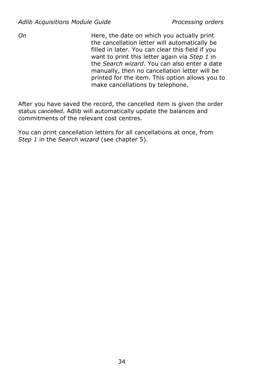*On* **Here, the date on which you actually print** the cancellation letter will automatically be filled in later. You can clear this field if you want to print this letter again via *Step 1* in the *Search wizard*. You can also enter a date manually, then no cancellation letter will be printed for the item. This option allows you to make cancellations by telephone.

After you have saved the record, the cancelled item is given the order status *cancelled*. Adlib will automatically update the balances and commitments of the relevant cost centres.

You can print cancellation letters for all cancellations at once, from *Step 1* in the *Search wizard* (see chapter [5\)](#page-38-0).

34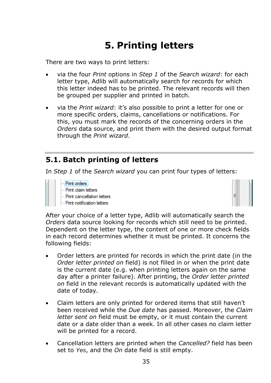### **5. Printing letters**

<span id="page-38-0"></span>There are two ways to print letters:

- via the four *Print* options in *Step 1* of the *Search wizard*: for each letter type, Adlib will automatically search for records for which this letter indeed has to be printed. The relevant records will then be grouped per supplier and printed in batch.
- via the *Print wizard*: it's also possible to print a letter for one or more specific orders, claims, cancellations or notifications. For this, you must mark the records of the concerning orders in the *Orders* data source, and print them with the desired output format through the *Print wizard*.

### **5.1. Batch printing of letters**

In *Step 1* of the *Search wizard* you can print four types of letters:

Print orders **Print claim letters** Print cancellation letters Print notification letters



After your choice of a letter type, Adlib will automatically search the *Orders* data source looking for records which still need to be printed. Dependent on the letter type, the content of one or more check fields in each record determines whether it must be printed. It concerns the following fields:

- Order letters are printed for records in which the print date (in the *Order letter printed on* field) is not filled in or when the print date is the current date (e.g. when printing letters again on the same day after a printer failure). After printing, the *Order letter printed on* field in the relevant records is automatically updated with the date of today.
- Claim letters are only printed for ordered items that still haven't been received while the *Due date* has passed. Moreover, the *Claim letter sent on* field must be empty, or it must contain the current date or a date older than a week. In all other cases no claim letter will be printed for a record.
- Cancellation letters are printed when the *Cancelled?* field has been set to *Yes*, and the *On* date field is still empty.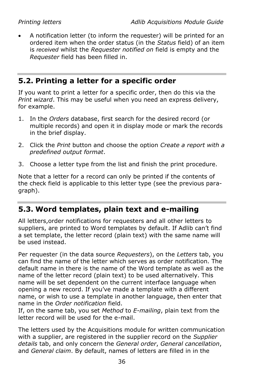• A notification letter (to inform the requester) will be printed for an ordered item when the order status (in the *Status* field) of an item is *received* whilst the *Requester notified on* field is empty and the *Requester* field has been filled in.

### **5.2. Printing a letter for a specific order**

If you want to print a letter for a specific order, then do this via the *Print wizard*. This may be useful when you need an express delivery, for example.

- 1. In the *Orders* database, first search for the desired record (or multiple records) and open it in display mode or mark the records in the brief display.
- 2. Click the *Print* button and choose the option *Create a report with a predefined output format*.
- 3. Choose a letter type from the list and finish the print procedure.

Note that a letter for a record can only be printed if the contents of the check field is applicable to this letter type (see the previous paragraph).

### **5.3. Word templates, plain text and e-mailing**

All letters,order notifications for requesters and all other letters to suppliers, are printed to Word templates by default. If Adlib can't find a set template, the letter record (plain text) with the same name will be used instead.

Per requester (in the data source *Requesters*), on the *Letters* tab, you can find the name of the letter which serves as order notification. The default name in there is the name of the Word template as well as the name of the letter record (plain text) to be used alternatively. This name will be set dependent on the current interface language when opening a new record. If you've made a template with a different name, or wish to use a template in another language, then enter that name in the *Order notification* field.

If, on the same tab, you set *Method* to *E-mailing*, plain text from the letter record will be used for the e-mail.

The letters used by the Acquisitions module for written communication with a supplier, are registered in the supplier record on the *Supplier details* tab, and only concern the *General order*, *General cancellation*, and *General claim*. By default, names of letters are filled in in the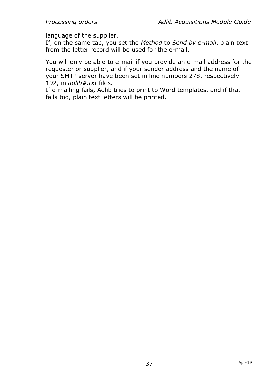language of the supplier.

If, on the same tab, you set the *Method* to *Send by e-mail*, plain text from the letter record will be used for the e-mail.

You will only be able to e-mail if you provide an e-mail address for the requester or supplier, and if your sender address and the name of your SMTP server have been set in line numbers 278, respectively 192, in *adlib#.txt* files.

If e-mailing fails, Adlib tries to print to Word templates, and if that fails too, plain text letters will be printed.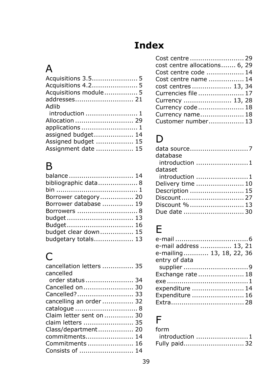# **Index**

# A

| Acquisitions 4.2 5    |  |
|-----------------------|--|
| Acquisitions module 5 |  |
| addresses 21          |  |
| Adlib                 |  |
|                       |  |
| Allocation  29        |  |
| applications  1       |  |
| assigned budget 14    |  |
| Assigned budget  15   |  |
| Assignment date  15   |  |

# B

| balance  14           |  |
|-----------------------|--|
| bibliographic data 8  |  |
|                       |  |
| Borrower category 20  |  |
| Borrower database  19 |  |
| Borrowers  8          |  |
|                       |  |
| Budget 16             |  |
| budget clear down 15  |  |
| budgetary totals 13   |  |
|                       |  |

# C

| cancellation letters  35<br>cancelled |
|---------------------------------------|
| order status  34                      |
|                                       |
| Cancelled? 33                         |
| cancelling an order 32                |
| catalogue  8                          |
| Claim letter sent on  30              |
| claim letters  35                     |
| Class/department 20                   |
| commitments 14                        |
| Commitments  16                       |
| Consists of  14                       |

| Cost centre  29               |  |
|-------------------------------|--|
| cost centre allocations 6, 29 |  |
| Cost centre code  14          |  |
| Cost centre name  14          |  |
| cost centres  13, 34          |  |
| Currencies file  17           |  |
| Currency  13, 28              |  |
| Currency code 18              |  |
| Currency name 18              |  |
| Customer number 13            |  |

# D

| database          |
|-------------------|
|                   |
| dataset           |
|                   |
| Delivery time  10 |
| Description  15   |
|                   |
| Discount %  13    |
|                   |

# E

| e-mail address  13, 21   |
|--------------------------|
| e-mailing 13, 18, 22, 36 |
| entry of data            |
|                          |
| Exchange rate  18        |
|                          |
| expenditure  14          |
| Expenditure  16          |
|                          |

### F

| form           |
|----------------|
| introduction 1 |
| Fully paid 32  |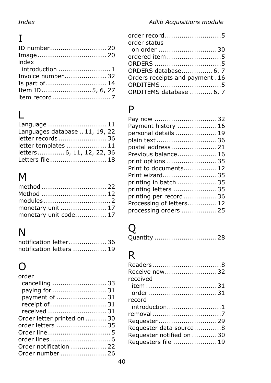# I

| index                                                             |  |
|-------------------------------------------------------------------|--|
| introduction $\ldots \ldots \ldots \ldots \ldots \ldots \ldots 1$ |  |
| Invoice number 32                                                 |  |
| Is part of  14                                                    |  |
| Item ID 5, 6, 27                                                  |  |
|                                                                   |  |

# L

| Language  11                   |  |
|--------------------------------|--|
| Languages database  11, 19, 22 |  |
| letter records  36             |  |
| letter templates  11           |  |
| letters6, 11, 12, 22, 36       |  |
| Letters file  18               |  |

# M

| method  22            |  |
|-----------------------|--|
|                       |  |
|                       |  |
| monetary unit  17     |  |
| monetary unit code 17 |  |

# N

| notification letter 36   |  |
|--------------------------|--|
| notification letters  19 |  |

#### $\Omega$ order

| oruer                       |  |
|-----------------------------|--|
| cancelling  33              |  |
| paying for  31              |  |
| payment of  31              |  |
| receipt of  31              |  |
| received  31                |  |
| Order letter printed on  30 |  |
| order letters  35           |  |
|                             |  |
|                             |  |
| Order notification  22      |  |
| Order number  26            |  |

| order record5                    |  |
|----------------------------------|--|
| order status                     |  |
| on order 30                      |  |
| ordered item 5                   |  |
| ORDERS 5                         |  |
| ORDERS database 6, 7             |  |
| Orders receipts and payment . 16 |  |
| ORDITEMS5                        |  |
| ORDITEMS database  6, 7          |  |

### P

| Pay now 32               |  |
|--------------------------|--|
| Payment history  16      |  |
| personal details  19     |  |
| plain text 36            |  |
| postal address21         |  |
| Previous balance 16      |  |
| print options 35         |  |
| Print to documents 12    |  |
| Print wizard35           |  |
| printing in batch 35     |  |
| printing letters 35      |  |
| printing per record36    |  |
| Processing of letters 12 |  |
| processing orders  25    |  |
|                          |  |

# Q

| Quantity  28 |  |  |  |  |  |  |  |  |  |  |  |  |  |  |  |  |  |  |  |  |  |  |  |  |  |  |  |  |
|--------------|--|--|--|--|--|--|--|--|--|--|--|--|--|--|--|--|--|--|--|--|--|--|--|--|--|--|--|--|
|--------------|--|--|--|--|--|--|--|--|--|--|--|--|--|--|--|--|--|--|--|--|--|--|--|--|--|--|--|--|

# R

| Readers8                  |  |
|---------------------------|--|
| Receive now32             |  |
| received                  |  |
|                           |  |
| order31                   |  |
| record                    |  |
| introduction1             |  |
|                           |  |
| Requester29               |  |
| Requester data source8    |  |
| Requester notified on  30 |  |
| Requesters file  19       |  |
|                           |  |